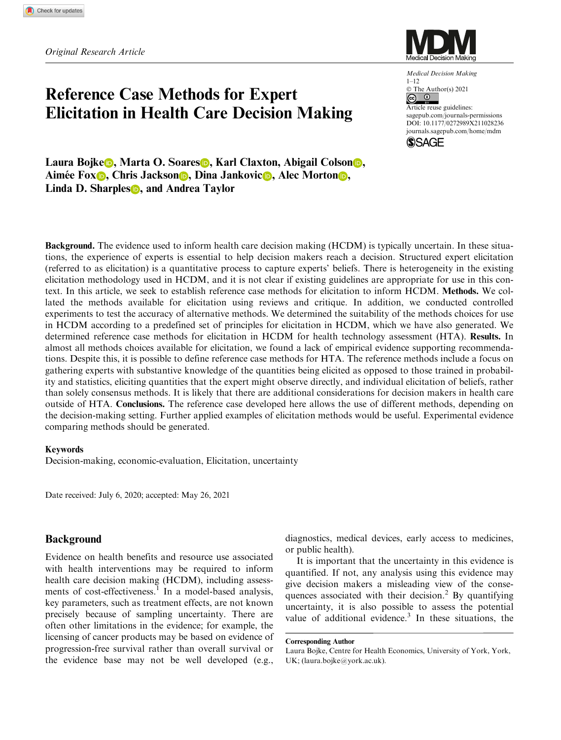# Reference Case Methods for Expert Elicitation in Health Care Decision Making



Medical Decision Making 1–12 © The Author(s) 2021 ලා. Article reuse guidelines: [sagepub.com/journals-permissions](us.sagepub.com/en-us/journals-permissions) [DOI: 10.1177/0272989X211028236](https://doi.dox.org/10.1177/0272989X211028236) <journals.sagepub.com/home/mdm> **SSAGE** 

Laura Bojke **D**, Marta O. Soares **D**, Karl Claxton, Abigail Colson **D**, Aimée Fox **D**, Chris Jackson **D**, Dina Jankovic **D**, Alec Morton **D**, Linda D. Sharples **D**, and Andrea Taylor

Background. The evidence used to inform health care decision making (HCDM) is typically uncertain. In these situations, the experience of experts is essential to help decision makers reach a decision. Structured expert elicitation (referred to as elicitation) is a quantitative process to capture experts' beliefs. There is heterogeneity in the existing elicitation methodology used in HCDM, and it is not clear if existing guidelines are appropriate for use in this context. In this article, we seek to establish reference case methods for elicitation to inform HCDM. Methods. We collated the methods available for elicitation using reviews and critique. In addition, we conducted controlled experiments to test the accuracy of alternative methods. We determined the suitability of the methods choices for use in HCDM according to a predefined set of principles for elicitation in HCDM, which we have also generated. We determined reference case methods for elicitation in HCDM for health technology assessment (HTA). Results. In almost all methods choices available for elicitation, we found a lack of empirical evidence supporting recommendations. Despite this, it is possible to define reference case methods for HTA. The reference methods include a focus on gathering experts with substantive knowledge of the quantities being elicited as opposed to those trained in probability and statistics, eliciting quantities that the expert might observe directly, and individual elicitation of beliefs, rather than solely consensus methods. It is likely that there are additional considerations for decision makers in health care outside of HTA. Conclusions. The reference case developed here allows the use of different methods, depending on the decision-making setting. Further applied examples of elicitation methods would be useful. Experimental evidence comparing methods should be generated.

#### Keywords

Decision-making, economic-evaluation, Elicitation, uncertainty

Date received: July 6, 2020; accepted: May 26, 2021

# Background

Evidence on health benefits and resource use associated with health interventions may be required to inform health care decision making (HCDM), including assessments of cost-effectiveness.<sup>1</sup> In a model-based analysis, key parameters, such as treatment effects, are not known precisely because of sampling uncertainty. There are often other limitations in the evidence; for example, the licensing of cancer products may be based on evidence of progression-free survival rather than overall survival or the evidence base may not be well developed (e.g., diagnostics, medical devices, early access to medicines, or public health).

It is important that the uncertainty in this evidence is quantified. If not, any analysis using this evidence may give decision makers a misleading view of the consequences associated with their decision.<sup>2</sup> By quantifying uncertainty, it is also possible to assess the potential value of additional evidence. $3$  In these situations, the

Corresponding Author

Laura Bojke, Centre for Health Economics, University of York, York, UK; (laura.bojke@york.ac.uk).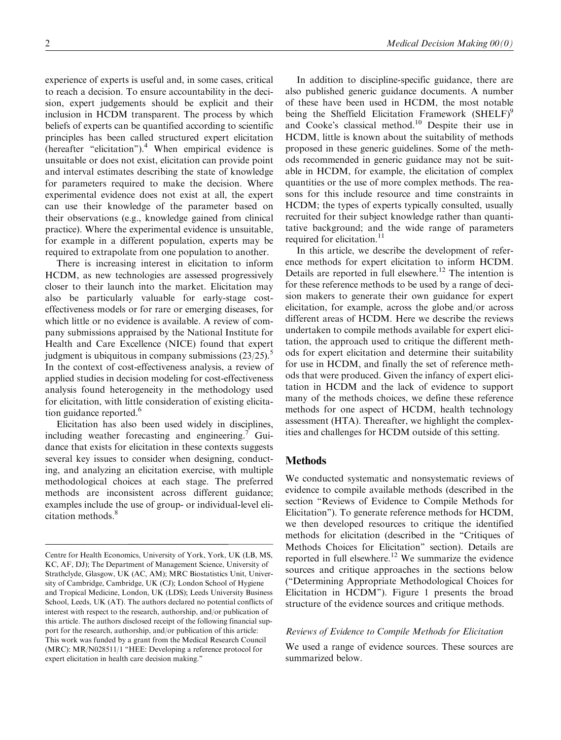experience of experts is useful and, in some cases, critical to reach a decision. To ensure accountability in the decision, expert judgements should be explicit and their inclusion in HCDM transparent. The process by which beliefs of experts can be quantified according to scientific principles has been called structured expert elicitation (hereafter "elicitation").<sup>4</sup> When empirical evidence is unsuitable or does not exist, elicitation can provide point and interval estimates describing the state of knowledge for parameters required to make the decision. Where experimental evidence does not exist at all, the expert can use their knowledge of the parameter based on their observations (e.g., knowledge gained from clinical practice). Where the experimental evidence is unsuitable, for example in a different population, experts may be required to extrapolate from one population to another.

There is increasing interest in elicitation to inform HCDM, as new technologies are assessed progressively closer to their launch into the market. Elicitation may also be particularly valuable for early-stage costeffectiveness models or for rare or emerging diseases, for which little or no evidence is available. A review of company submissions appraised by the National Institute for Health and Care Excellence (NICE) found that expert judgment is ubiquitous in company submissions  $(23/25)$ .<sup>5</sup> In the context of cost-effectiveness analysis, a review of applied studies in decision modeling for cost-effectiveness analysis found heterogeneity in the methodology used for elicitation, with little consideration of existing elicitation guidance reported.<sup>6</sup>

Elicitation has also been used widely in disciplines, including weather forecasting and engineering. Guidance that exists for elicitation in these contexts suggests several key issues to consider when designing, conducting, and analyzing an elicitation exercise, with multiple methodological choices at each stage. The preferred methods are inconsistent across different guidance; examples include the use of group- or individual-level elicitation methods.<sup>8</sup>

In addition to discipline-specific guidance, there are also published generic guidance documents. A number of these have been used in HCDM, the most notable being the Sheffield Elicitation Framework  $(SHELF)^9$ and Cooke's classical method.10 Despite their use in HCDM, little is known about the suitability of methods proposed in these generic guidelines. Some of the methods recommended in generic guidance may not be suitable in HCDM, for example, the elicitation of complex quantities or the use of more complex methods. The reasons for this include resource and time constraints in HCDM; the types of experts typically consulted, usually recruited for their subject knowledge rather than quantitative background; and the wide range of parameters required for elicitation.<sup>11</sup>

In this article, we describe the development of reference methods for expert elicitation to inform HCDM. Details are reported in full elsewhere.<sup>12</sup> The intention is for these reference methods to be used by a range of decision makers to generate their own guidance for expert elicitation, for example, across the globe and/or across different areas of HCDM. Here we describe the reviews undertaken to compile methods available for expert elicitation, the approach used to critique the different methods for expert elicitation and determine their suitability for use in HCDM, and finally the set of reference methods that were produced. Given the infancy of expert elicitation in HCDM and the lack of evidence to support many of the methods choices, we define these reference methods for one aspect of HCDM, health technology assessment (HTA). Thereafter, we highlight the complexities and challenges for HCDM outside of this setting.

# Methods

We conducted systematic and nonsystematic reviews of evidence to compile available methods (described in the section ''Reviews of Evidence to Compile Methods for Elicitation''). To generate reference methods for HCDM, we then developed resources to critique the identified methods for elicitation (described in the ''Critiques of Methods Choices for Elicitation'' section). Details are reported in full elsewhere.<sup>12</sup> We summarize the evidence sources and critique approaches in the sections below (''Determining Appropriate Methodological Choices for Elicitation in HCDM''). Figure 1 presents the broad structure of the evidence sources and critique methods.

## Reviews of Evidence to Compile Methods for Elicitation

We used a range of evidence sources. These sources are summarized below.

Centre for Health Economics, University of York, York, UK (LB, MS, KC, AF, DJ); The Department of Management Science, University of Strathclyde, Glasgow, UK (AC, AM); MRC Biostatistics Unit, University of Cambridge, Cambridge, UK (CJ); London School of Hygiene and Tropical Medicine, London, UK (LDS); Leeds University Business School, Leeds, UK (AT). The authors declared no potential conflicts of interest with respect to the research, authorship, and/or publication of this article. The authors disclosed receipt of the following financial support for the research, authorship, and/or publication of this article: This work was funded by a grant from the Medical Research Council (MRC): MR/N028511/1 ''HEE: Developing a reference protocol for expert elicitation in health care decision making.''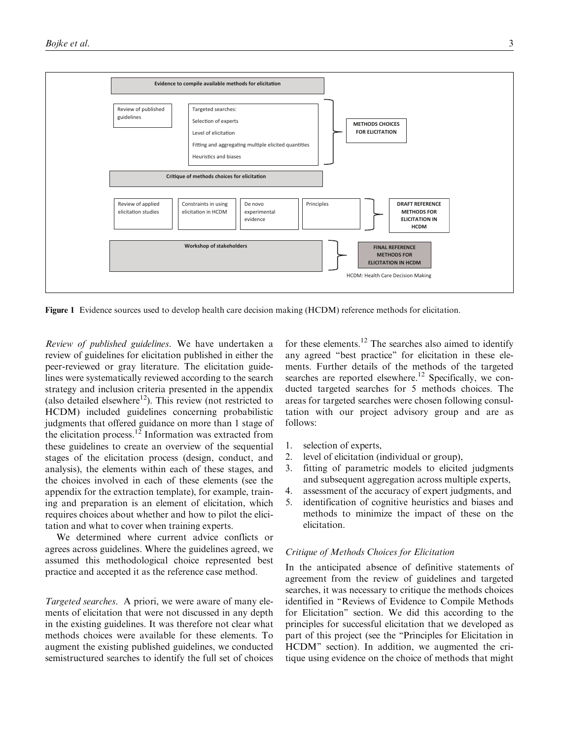

Figure 1 Evidence sources used to develop health care decision making (HCDM) reference methods for elicitation.

Review of published guidelines. We have undertaken a review of guidelines for elicitation published in either the peer-reviewed or gray literature. The elicitation guidelines were systematically reviewed according to the search strategy and inclusion criteria presented in the appendix (also detailed elsewhere $12$ ). This review (not restricted to HCDM) included guidelines concerning probabilistic judgments that offered guidance on more than 1 stage of the elicitation process.<sup>12</sup> Information was extracted from these guidelines to create an overview of the sequential stages of the elicitation process (design, conduct, and analysis), the elements within each of these stages, and the choices involved in each of these elements (see the appendix for the extraction template), for example, training and preparation is an element of elicitation, which requires choices about whether and how to pilot the elicitation and what to cover when training experts.

We determined where current advice conflicts or agrees across guidelines. Where the guidelines agreed, we assumed this methodological choice represented best practice and accepted it as the reference case method.

Targeted searches. A priori, we were aware of many elements of elicitation that were not discussed in any depth in the existing guidelines. It was therefore not clear what methods choices were available for these elements. To augment the existing published guidelines, we conducted semistructured searches to identify the full set of choices

for these elements.<sup>12</sup> The searches also aimed to identify any agreed ''best practice'' for elicitation in these elements. Further details of the methods of the targeted searches are reported elsewhere.<sup>12</sup> Specifically, we conducted targeted searches for 5 methods choices. The areas for targeted searches were chosen following consultation with our project advisory group and are as follows:

- 1. selection of experts,
- 2. level of elicitation (individual or group),
- 3. fitting of parametric models to elicited judgments and subsequent aggregation across multiple experts,
- 4. assessment of the accuracy of expert judgments, and
- 5. identification of cognitive heuristics and biases and methods to minimize the impact of these on the elicitation.

#### Critique of Methods Choices for Elicitation

In the anticipated absence of definitive statements of agreement from the review of guidelines and targeted searches, it was necessary to critique the methods choices identified in ''Reviews of Evidence to Compile Methods for Elicitation'' section. We did this according to the principles for successful elicitation that we developed as part of this project (see the ''Principles for Elicitation in HCDM'' section). In addition, we augmented the critique using evidence on the choice of methods that might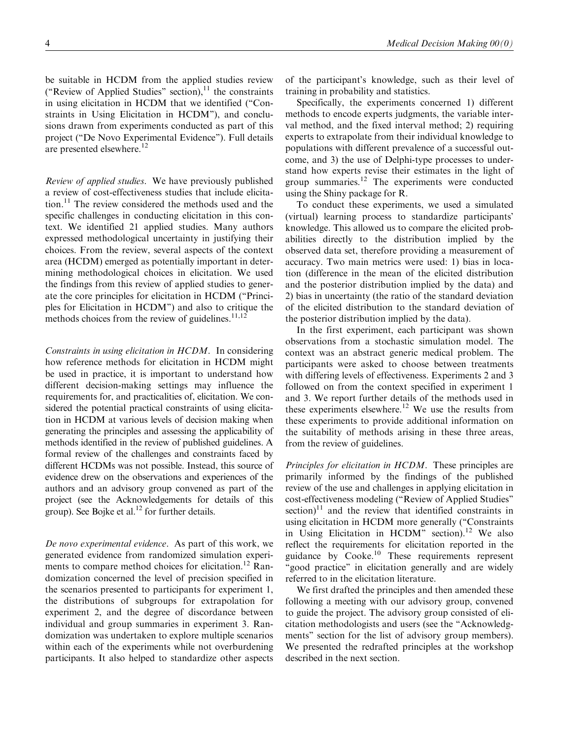be suitable in HCDM from the applied studies review ("Review of Applied Studies" section), $^{11}$  the constraints in using elicitation in HCDM that we identified (''Constraints in Using Elicitation in HCDM''), and conclusions drawn from experiments conducted as part of this project (''De Novo Experimental Evidence''). Full details are presented elsewhere.<sup>12</sup>

Review of applied studies. We have previously published a review of cost-effectiveness studies that include elicitation.11 The review considered the methods used and the specific challenges in conducting elicitation in this context. We identified 21 applied studies. Many authors expressed methodological uncertainty in justifying their choices. From the review, several aspects of the context area (HCDM) emerged as potentially important in determining methodological choices in elicitation. We used the findings from this review of applied studies to generate the core principles for elicitation in HCDM (''Principles for Elicitation in HCDM'') and also to critique the methods choices from the review of guidelines. $11,12$ 

Constraints in using elicitation in HCDM. In considering how reference methods for elicitation in HCDM might be used in practice, it is important to understand how different decision-making settings may influence the requirements for, and practicalities of, elicitation. We considered the potential practical constraints of using elicitation in HCDM at various levels of decision making when generating the principles and assessing the applicability of methods identified in the review of published guidelines. A formal review of the challenges and constraints faced by different HCDMs was not possible. Instead, this source of evidence drew on the observations and experiences of the authors and an advisory group convened as part of the project (see the Acknowledgements for details of this group). See Bojke et al.<sup>12</sup> for further details.

De novo experimental evidence. As part of this work, we generated evidence from randomized simulation experiments to compare method choices for elicitation.<sup>12</sup> Randomization concerned the level of precision specified in the scenarios presented to participants for experiment 1, the distributions of subgroups for extrapolation for experiment 2, and the degree of discordance between individual and group summaries in experiment 3. Randomization was undertaken to explore multiple scenarios within each of the experiments while not overburdening participants. It also helped to standardize other aspects

of the participant's knowledge, such as their level of training in probability and statistics.

Specifically, the experiments concerned 1) different methods to encode experts judgments, the variable interval method, and the fixed interval method; 2) requiring experts to extrapolate from their individual knowledge to populations with different prevalence of a successful outcome, and 3) the use of Delphi-type processes to understand how experts revise their estimates in the light of group summaries.<sup>12</sup> The experiments were conducted using the Shiny package for R.

To conduct these experiments, we used a simulated (virtual) learning process to standardize participants' knowledge. This allowed us to compare the elicited probabilities directly to the distribution implied by the observed data set, therefore providing a measurement of accuracy. Two main metrics were used: 1) bias in location (difference in the mean of the elicited distribution and the posterior distribution implied by the data) and 2) bias in uncertainty (the ratio of the standard deviation of the elicited distribution to the standard deviation of the posterior distribution implied by the data).

In the first experiment, each participant was shown observations from a stochastic simulation model. The context was an abstract generic medical problem. The participants were asked to choose between treatments with differing levels of effectiveness. Experiments 2 and 3 followed on from the context specified in experiment 1 and 3. We report further details of the methods used in these experiments elsewhere.<sup>12</sup> We use the results from these experiments to provide additional information on the suitability of methods arising in these three areas, from the review of guidelines.

Principles for elicitation in HCDM. These principles are primarily informed by the findings of the published review of the use and challenges in applying elicitation in cost-effectiveness modeling (''Review of Applied Studies''  $\text{section}$ <sup>11</sup> and the review that identified constraints in using elicitation in HCDM more generally (''Constraints in Using Elicitation in HCDM" section).<sup>12</sup> We also reflect the requirements for elicitation reported in the guidance by  $Cooke$ .<sup>10</sup> These requirements represent "good practice" in elicitation generally and are widely referred to in the elicitation literature.

We first drafted the principles and then amended these following a meeting with our advisory group, convened to guide the project. The advisory group consisted of elicitation methodologists and users (see the ''Acknowledgments'' section for the list of advisory group members). We presented the redrafted principles at the workshop described in the next section.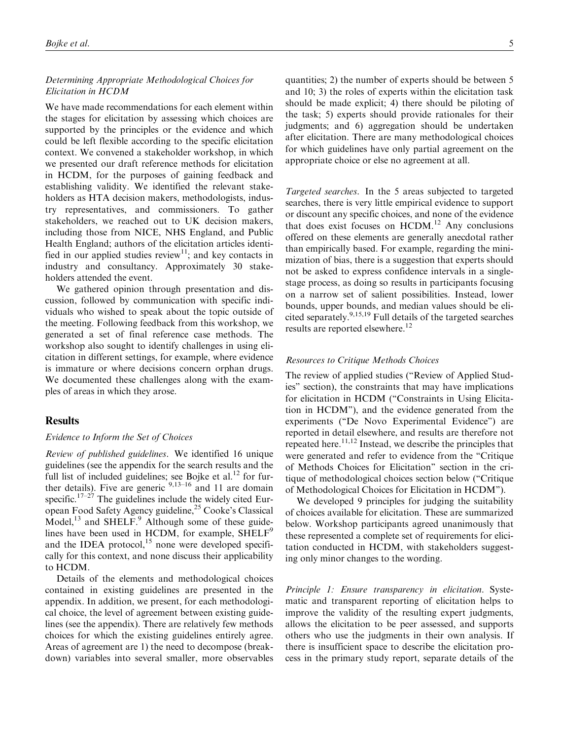# Determining Appropriate Methodological Choices for Elicitation in HCDM

We have made recommendations for each element within the stages for elicitation by assessing which choices are supported by the principles or the evidence and which could be left flexible according to the specific elicitation context. We convened a stakeholder workshop, in which we presented our draft reference methods for elicitation in HCDM, for the purposes of gaining feedback and establishing validity. We identified the relevant stakeholders as HTA decision makers, methodologists, industry representatives, and commissioners. To gather stakeholders, we reached out to UK decision makers, including those from NICE, NHS England, and Public Health England; authors of the elicitation articles identified in our applied studies review<sup>11</sup>; and key contacts in industry and consultancy. Approximately 30 stakeholders attended the event.

We gathered opinion through presentation and discussion, followed by communication with specific individuals who wished to speak about the topic outside of the meeting. Following feedback from this workshop, we generated a set of final reference case methods. The workshop also sought to identify challenges in using elicitation in different settings, for example, where evidence is immature or where decisions concern orphan drugs. We documented these challenges along with the examples of areas in which they arose.

# **Results**

#### Evidence to Inform the Set of Choices

Review of published guidelines. We identified 16 unique guidelines (see the appendix for the search results and the full list of included guidelines; see Bojke et al.<sup>12</sup> for further details). Five are generic  $9,13-16$  and 11 are domain specific.<sup>17–27</sup> The guidelines include the widely cited European Food Safety Agency guideline,25 Cooke's Classical Model, $^{13}$  and SHELF. $^{9}$  Although some of these guidelines have been used in HCDM, for example, SHELF<sup>9</sup> and the IDEA protocol, $15$  none were developed specifically for this context, and none discuss their applicability to HCDM.

Details of the elements and methodological choices contained in existing guidelines are presented in the appendix. In addition, we present, for each methodological choice, the level of agreement between existing guidelines (see the appendix). There are relatively few methods choices for which the existing guidelines entirely agree. Areas of agreement are 1) the need to decompose (breakdown) variables into several smaller, more observables

quantities; 2) the number of experts should be between 5 and 10; 3) the roles of experts within the elicitation task should be made explicit; 4) there should be piloting of the task; 5) experts should provide rationales for their judgments; and 6) aggregation should be undertaken after elicitation. There are many methodological choices for which guidelines have only partial agreement on the appropriate choice or else no agreement at all.

Targeted searches. In the 5 areas subjected to targeted searches, there is very little empirical evidence to support or discount any specific choices, and none of the evidence that does exist focuses on  $HCDM$ .<sup>12</sup> Any conclusions offered on these elements are generally anecdotal rather than empirically based. For example, regarding the minimization of bias, there is a suggestion that experts should not be asked to express confidence intervals in a singlestage process, as doing so results in participants focusing on a narrow set of salient possibilities. Instead, lower bounds, upper bounds, and median values should be elicited separately.9,15,19 Full details of the targeted searches results are reported elsewhere.<sup>12</sup>

#### Resources to Critique Methods Choices

The review of applied studies ("Review of Applied Studies'' section), the constraints that may have implications for elicitation in HCDM ("Constraints in Using Elicitation in HCDM''), and the evidence generated from the experiments (''De Novo Experimental Evidence'') are reported in detail elsewhere, and results are therefore not repeated here.<sup>11,12</sup> Instead, we describe the principles that were generated and refer to evidence from the "Critique" of Methods Choices for Elicitation'' section in the critique of methodological choices section below (''Critique of Methodological Choices for Elicitation in HCDM'').

We developed 9 principles for judging the suitability of choices available for elicitation. These are summarized below. Workshop participants agreed unanimously that these represented a complete set of requirements for elicitation conducted in HCDM, with stakeholders suggesting only minor changes to the wording.

Principle 1: Ensure transparency in elicitation. Systematic and transparent reporting of elicitation helps to improve the validity of the resulting expert judgments, allows the elicitation to be peer assessed, and supports others who use the judgments in their own analysis. If there is insufficient space to describe the elicitation process in the primary study report, separate details of the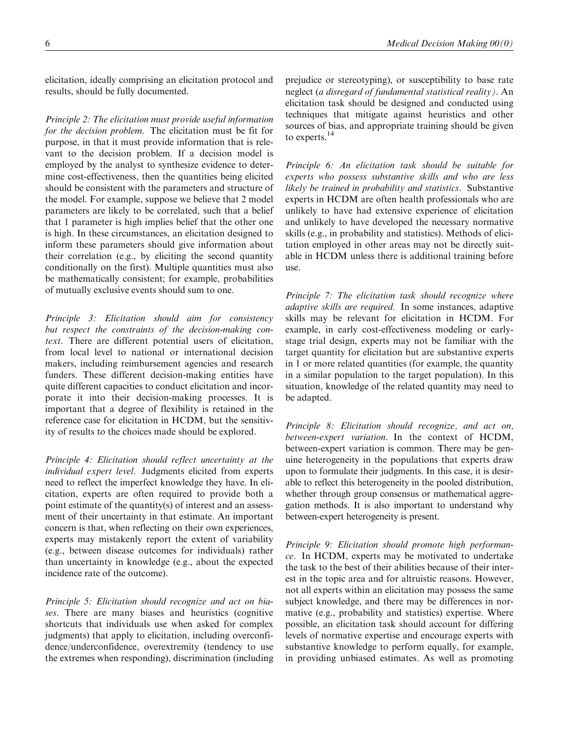elicitation, ideally comprising an elicitation protocol and results, should be fully documented.

Principle 2: The elicitation must provide useful information for the decision problem. The elicitation must be fit for purpose, in that it must provide information that is relevant to the decision problem. If a decision model is employed by the analyst to synthesize evidence to determine cost-effectiveness, then the quantities being elicited should be consistent with the parameters and structure of the model. For example, suppose we believe that 2 model parameters are likely to be correlated, such that a belief that 1 parameter is high implies belief that the other one is high. In these circumstances, an elicitation designed to inform these parameters should give information about their correlation (e.g., by eliciting the second quantity conditionally on the first). Multiple quantities must also be mathematically consistent; for example, probabilities of mutually exclusive events should sum to one.

Principle 3: Elicitation should aim for consistency but respect the constraints of the decision-making context. There are different potential users of elicitation, from local level to national or international decision makers, including reimbursement agencies and research funders. These different decision-making entities have quite different capacities to conduct elicitation and incorporate it into their decision-making processes. It is important that a degree of flexibility is retained in the reference case for elicitation in HCDM, but the sensitivity of results to the choices made should be explored.

Principle 4: Elicitation should reflect uncertainty at the individual expert level. Judgments elicited from experts need to reflect the imperfect knowledge they have. In elicitation, experts are often required to provide both a point estimate of the quantity(s) of interest and an assessment of their uncertainty in that estimate. An important concern is that, when reflecting on their own experiences, experts may mistakenly report the extent of variability (e.g., between disease outcomes for individuals) rather than uncertainty in knowledge (e.g., about the expected incidence rate of the outcome).

Principle 5: Elicitation should recognize and act on biases. There are many biases and heuristics (cognitive shortcuts that individuals use when asked for complex judgments) that apply to elicitation, including overconfidence/underconfidence, overextremity (tendency to use the extremes when responding), discrimination (including

prejudice or stereotyping), or susceptibility to base rate neglect (a disregard of fundamental statistical reality). An elicitation task should be designed and conducted using techniques that mitigate against heuristics and other sources of bias, and appropriate training should be given to experts.<sup>14</sup>

Principle 6: An elicitation task should be suitable for experts who possess substantive skills and who are less likely be trained in probability and statistics. Substantive experts in HCDM are often health professionals who are unlikely to have had extensive experience of elicitation and unlikely to have developed the necessary normative skills (e.g., in probability and statistics). Methods of elicitation employed in other areas may not be directly suitable in HCDM unless there is additional training before use.

Principle 7: The elicitation task should recognize where adaptive skills are required. In some instances, adaptive skills may be relevant for elicitation in HCDM. For example, in early cost-effectiveness modeling or earlystage trial design, experts may not be familiar with the target quantity for elicitation but are substantive experts in 1 or more related quantities (for example, the quantity in a similar population to the target population). In this situation, knowledge of the related quantity may need to be adapted.

Principle 8: Elicitation should recognize, and act on, between-expert variation. In the context of HCDM, between-expert variation is common. There may be genuine heterogeneity in the populations that experts draw upon to formulate their judgments. In this case, it is desirable to reflect this heterogeneity in the pooled distribution, whether through group consensus or mathematical aggregation methods. It is also important to understand why between-expert heterogeneity is present.

Principle 9: Elicitation should promote high performance. In HCDM, experts may be motivated to undertake the task to the best of their abilities because of their interest in the topic area and for altruistic reasons. However, not all experts within an elicitation may possess the same subject knowledge, and there may be differences in normative (e.g., probability and statistics) expertise. Where possible, an elicitation task should account for differing levels of normative expertise and encourage experts with substantive knowledge to perform equally, for example, in providing unbiased estimates. As well as promoting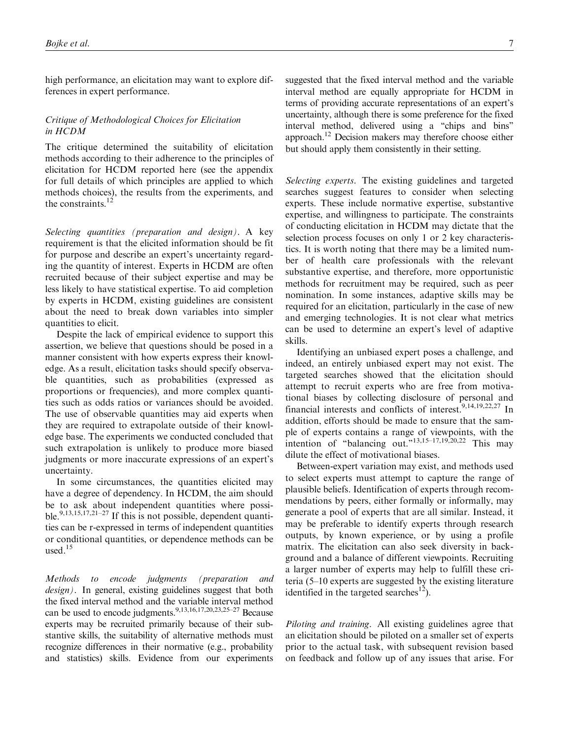high performance, an elicitation may want to explore differences in expert performance.

## Critique of Methodological Choices for Elicitation in HCDM

The critique determined the suitability of elicitation methods according to their adherence to the principles of elicitation for HCDM reported here (see the appendix for full details of which principles are applied to which methods choices), the results from the experiments, and the constraints.<sup>12</sup>

Selecting quantities (preparation and design). A key requirement is that the elicited information should be fit for purpose and describe an expert's uncertainty regarding the quantity of interest. Experts in HCDM are often recruited because of their subject expertise and may be less likely to have statistical expertise. To aid completion by experts in HCDM, existing guidelines are consistent about the need to break down variables into simpler quantities to elicit.

Despite the lack of empirical evidence to support this assertion, we believe that questions should be posed in a manner consistent with how experts express their knowledge. As a result, elicitation tasks should specify observable quantities, such as probabilities (expressed as proportions or frequencies), and more complex quantities such as odds ratios or variances should be avoided. The use of observable quantities may aid experts when they are required to extrapolate outside of their knowledge base. The experiments we conducted concluded that such extrapolation is unlikely to produce more biased judgments or more inaccurate expressions of an expert's uncertainty.

In some circumstances, the quantities elicited may have a degree of dependency. In HCDM, the aim should be to ask about independent quantities where possible.<sup>9,13,15,17,21-27</sup> If this is not possible, dependent quantities can be r-expressed in terms of independent quantities or conditional quantities, or dependence methods can be used.15

Methods to encode judgments (preparation and design). In general, existing guidelines suggest that both the fixed interval method and the variable interval method can be used to encode judgments.<sup>9,13,16,17,20,23,25–27</sup> Because experts may be recruited primarily because of their substantive skills, the suitability of alternative methods must recognize differences in their normative (e.g., probability and statistics) skills. Evidence from our experiments

suggested that the fixed interval method and the variable interval method are equally appropriate for HCDM in terms of providing accurate representations of an expert's uncertainty, although there is some preference for the fixed interval method, delivered using a ''chips and bins'' approach.12 Decision makers may therefore choose either but should apply them consistently in their setting.

Selecting experts. The existing guidelines and targeted searches suggest features to consider when selecting experts. These include normative expertise, substantive expertise, and willingness to participate. The constraints of conducting elicitation in HCDM may dictate that the selection process focuses on only 1 or 2 key characteristics. It is worth noting that there may be a limited number of health care professionals with the relevant substantive expertise, and therefore, more opportunistic methods for recruitment may be required, such as peer nomination. In some instances, adaptive skills may be required for an elicitation, particularly in the case of new and emerging technologies. It is not clear what metrics can be used to determine an expert's level of adaptive skills.

Identifying an unbiased expert poses a challenge, and indeed, an entirely unbiased expert may not exist. The targeted searches showed that the elicitation should attempt to recruit experts who are free from motivational biases by collecting disclosure of personal and financial interests and conflicts of interest.<sup>9,14,19,22,27</sup> In addition, efforts should be made to ensure that the sample of experts contains a range of viewpoints, with the intention of "balancing out." $13,15-17,19,20,22$  This may dilute the effect of motivational biases.

Between-expert variation may exist, and methods used to select experts must attempt to capture the range of plausible beliefs. Identification of experts through recommendations by peers, either formally or informally, may generate a pool of experts that are all similar. Instead, it may be preferable to identify experts through research outputs, by known experience, or by using a profile matrix. The elicitation can also seek diversity in background and a balance of different viewpoints. Recruiting a larger number of experts may help to fulfill these criteria (5–10 experts are suggested by the existing literature identified in the targeted searches<sup>12</sup>).

Piloting and training. All existing guidelines agree that an elicitation should be piloted on a smaller set of experts prior to the actual task, with subsequent revision based on feedback and follow up of any issues that arise. For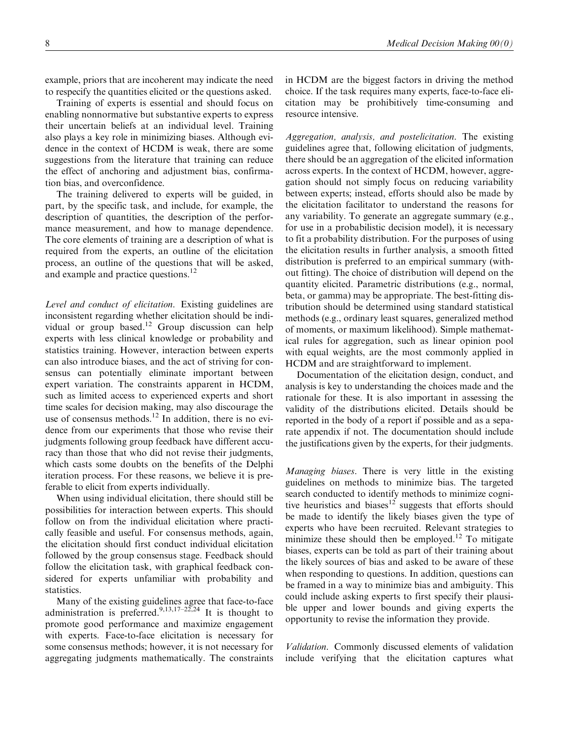example, priors that are incoherent may indicate the need to respecify the quantities elicited or the questions asked.

Training of experts is essential and should focus on enabling nonnormative but substantive experts to express their uncertain beliefs at an individual level. Training also plays a key role in minimizing biases. Although evidence in the context of HCDM is weak, there are some suggestions from the literature that training can reduce the effect of anchoring and adjustment bias, confirmation bias, and overconfidence.

The training delivered to experts will be guided, in part, by the specific task, and include, for example, the description of quantities, the description of the performance measurement, and how to manage dependence. The core elements of training are a description of what is required from the experts, an outline of the elicitation process, an outline of the questions that will be asked, and example and practice questions.<sup>12</sup>

Level and conduct of elicitation. Existing guidelines are inconsistent regarding whether elicitation should be individual or group based.<sup>12</sup> Group discussion can help experts with less clinical knowledge or probability and statistics training. However, interaction between experts can also introduce biases, and the act of striving for consensus can potentially eliminate important between expert variation. The constraints apparent in HCDM, such as limited access to experienced experts and short time scales for decision making, may also discourage the use of consensus methods.<sup>12</sup> In addition, there is no evidence from our experiments that those who revise their judgments following group feedback have different accuracy than those that who did not revise their judgments, which casts some doubts on the benefits of the Delphi iteration process. For these reasons, we believe it is preferable to elicit from experts individually.

When using individual elicitation, there should still be possibilities for interaction between experts. This should follow on from the individual elicitation where practically feasible and useful. For consensus methods, again, the elicitation should first conduct individual elicitation followed by the group consensus stage. Feedback should follow the elicitation task, with graphical feedback considered for experts unfamiliar with probability and statistics.

Many of the existing guidelines agree that face-to-face administration is preferred.<sup>9,13,17–22,24</sup> It is thought to promote good performance and maximize engagement with experts. Face-to-face elicitation is necessary for some consensus methods; however, it is not necessary for aggregating judgments mathematically. The constraints

in HCDM are the biggest factors in driving the method choice. If the task requires many experts, face-to-face elicitation may be prohibitively time-consuming and resource intensive.

Aggregation, analysis, and postelicitation. The existing guidelines agree that, following elicitation of judgments, there should be an aggregation of the elicited information across experts. In the context of HCDM, however, aggregation should not simply focus on reducing variability between experts; instead, efforts should also be made by the elicitation facilitator to understand the reasons for any variability. To generate an aggregate summary (e.g., for use in a probabilistic decision model), it is necessary to fit a probability distribution. For the purposes of using the elicitation results in further analysis, a smooth fitted distribution is preferred to an empirical summary (without fitting). The choice of distribution will depend on the quantity elicited. Parametric distributions (e.g., normal, beta, or gamma) may be appropriate. The best-fitting distribution should be determined using standard statistical methods (e.g., ordinary least squares, generalized method of moments, or maximum likelihood). Simple mathematical rules for aggregation, such as linear opinion pool with equal weights, are the most commonly applied in HCDM and are straightforward to implement.

Documentation of the elicitation design, conduct, and analysis is key to understanding the choices made and the rationale for these. It is also important in assessing the validity of the distributions elicited. Details should be reported in the body of a report if possible and as a separate appendix if not. The documentation should include the justifications given by the experts, for their judgments.

Managing biases. There is very little in the existing guidelines on methods to minimize bias. The targeted search conducted to identify methods to minimize cognitive heuristics and biases $12$  suggests that efforts should be made to identify the likely biases given the type of experts who have been recruited. Relevant strategies to minimize these should then be employed.<sup>12</sup> To mitigate biases, experts can be told as part of their training about the likely sources of bias and asked to be aware of these when responding to questions. In addition, questions can be framed in a way to minimize bias and ambiguity. This could include asking experts to first specify their plausible upper and lower bounds and giving experts the opportunity to revise the information they provide.

Validation. Commonly discussed elements of validation include verifying that the elicitation captures what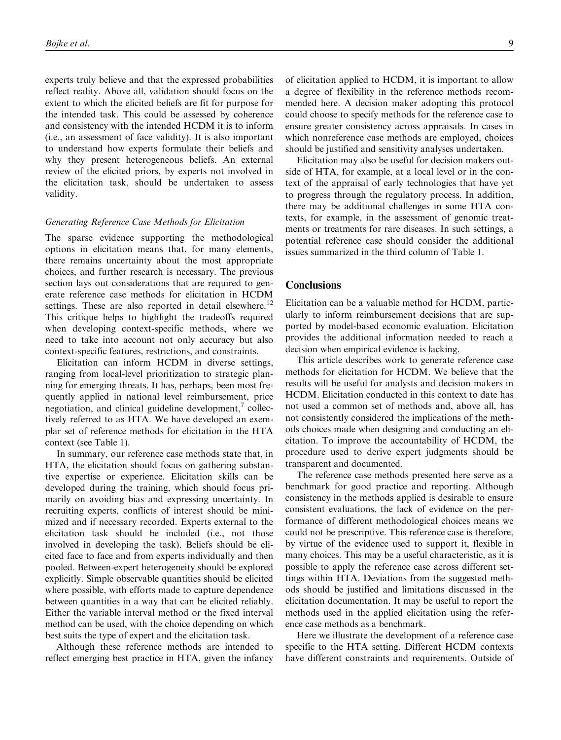experts truly believe and that the expressed probabilities reflect reality. Above all, validation should focus on the extent to which the elicited beliefs are fit for purpose for the intended task. This could be assessed by coherence and consistency with the intended HCDM it is to inform (i.e., an assessment of face validity). It is also important to understand how experts formulate their beliefs and why they present heterogeneous beliefs. An external review of the elicited priors, by experts not involved in the elicitation task, should be undertaken to assess validity.

# Generating Reference Case Methods for Elicitation

The sparse evidence supporting the methodological options in elicitation means that, for many elements, there remains uncertainty about the most appropriate choices, and further research is necessary. The previous section lays out considerations that are required to generate reference case methods for elicitation in HCDM settings. These are also reported in detail elsewhere.<sup>12</sup> This critique helps to highlight the tradeoffs required when developing context-specific methods, where we need to take into account not only accuracy but also context-specific features, restrictions, and constraints.

Elicitation can inform HCDM in diverse settings, ranging from local-level prioritization to strategic planning for emerging threats. It has, perhaps, been most frequently applied in national level reimbursement, price negotiation, and clinical guideline development, $\alpha$  collectively referred to as HTA. We have developed an exemplar set of reference methods for elicitation in the HTA context (see Table 1).

In summary, our reference case methods state that, in HTA, the elicitation should focus on gathering substantive expertise or experience. Elicitation skills can be developed during the training, which should focus primarily on avoiding bias and expressing uncertainty. In recruiting experts, conflicts of interest should be minimized and if necessary recorded. Experts external to the elicitation task should be included (i.e., not those involved in developing the task). Beliefs should be elicited face to face and from experts individually and then pooled. Between-expert heterogeneity should be explored explicitly. Simple observable quantities should be elicited where possible, with efforts made to capture dependence between quantities in a way that can be elicited reliably. Either the variable interval method or the fixed interval method can be used, with the choice depending on which best suits the type of expert and the elicitation task.

Although these reference methods are intended to reflect emerging best practice in HTA, given the infancy

of elicitation applied to HCDM, it is important to allow a degree of flexibility in the reference methods recommended here. A decision maker adopting this protocol could choose to specify methods for the reference case to ensure greater consistency across appraisals. In cases in which nonreference case methods are employed, choices should be justified and sensitivity analyses undertaken.

Elicitation may also be useful for decision makers outside of HTA, for example, at a local level or in the context of the appraisal of early technologies that have yet to progress through the regulatory process. In addition, there may be additional challenges in some HTA contexts, for example, in the assessment of genomic treatments or treatments for rare diseases. In such settings, a potential reference case should consider the additional issues summarized in the third column of Table 1.

## **Conclusions**

Elicitation can be a valuable method for HCDM, particularly to inform reimbursement decisions that are supported by model-based economic evaluation. Elicitation provides the additional information needed to reach a decision when empirical evidence is lacking.

This article describes work to generate reference case methods for elicitation for HCDM. We believe that the results will be useful for analysts and decision makers in HCDM. Elicitation conducted in this context to date has not used a common set of methods and, above all, has not consistently considered the implications of the methods choices made when designing and conducting an elicitation. To improve the accountability of HCDM, the procedure used to derive expert judgments should be transparent and documented.

The reference case methods presented here serve as a benchmark for good practice and reporting. Although consistency in the methods applied is desirable to ensure consistent evaluations, the lack of evidence on the performance of different methodological choices means we could not be prescriptive. This reference case is therefore, by virtue of the evidence used to support it, flexible in many choices. This may be a useful characteristic, as it is possible to apply the reference case across different settings within HTA. Deviations from the suggested methods should be justified and limitations discussed in the elicitation documentation. It may be useful to report the methods used in the applied elicitation using the reference case methods as a benchmark.

Here we illustrate the development of a reference case specific to the HTA setting. Different HCDM contexts have different constraints and requirements. Outside of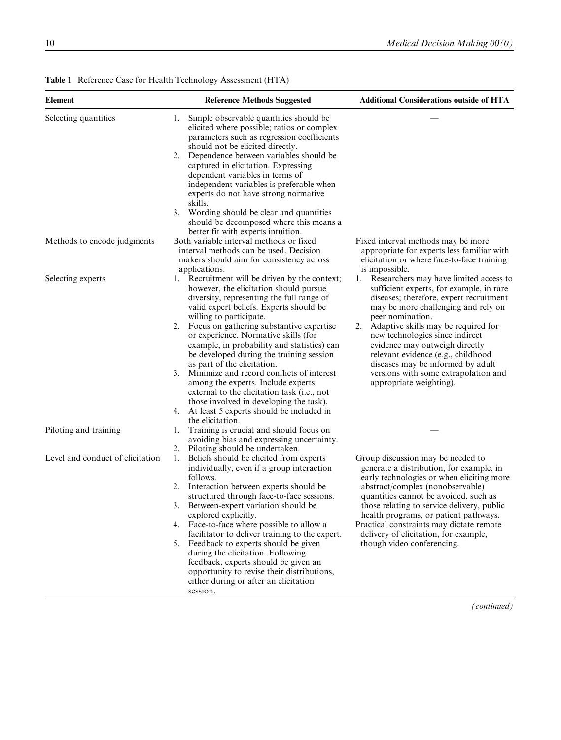| Element                          | <b>Reference Methods Suggested</b>                                                                                                                                                                                                                                                                                                                                                                                                                                                                                                                                                                                                                                                      | <b>Additional Considerations outside of HTA</b>                                                                                                                                                                                                                                                                                                                                                                                                             |
|----------------------------------|-----------------------------------------------------------------------------------------------------------------------------------------------------------------------------------------------------------------------------------------------------------------------------------------------------------------------------------------------------------------------------------------------------------------------------------------------------------------------------------------------------------------------------------------------------------------------------------------------------------------------------------------------------------------------------------------|-------------------------------------------------------------------------------------------------------------------------------------------------------------------------------------------------------------------------------------------------------------------------------------------------------------------------------------------------------------------------------------------------------------------------------------------------------------|
| Selecting quantities             | Simple observable quantities should be<br>1.<br>elicited where possible; ratios or complex<br>parameters such as regression coefficients<br>should not be elicited directly.<br>Dependence between variables should be<br>2.<br>captured in elicitation. Expressing<br>dependent variables in terms of<br>independent variables is preferable when<br>experts do not have strong normative<br>skills.<br>3. Wording should be clear and quantities<br>should be decomposed where this means a                                                                                                                                                                                           |                                                                                                                                                                                                                                                                                                                                                                                                                                                             |
|                                  | better fit with experts intuition.                                                                                                                                                                                                                                                                                                                                                                                                                                                                                                                                                                                                                                                      |                                                                                                                                                                                                                                                                                                                                                                                                                                                             |
| Methods to encode judgments      | Both variable interval methods or fixed<br>interval methods can be used. Decision<br>makers should aim for consistency across<br>applications.                                                                                                                                                                                                                                                                                                                                                                                                                                                                                                                                          | Fixed interval methods may be more<br>appropriate for experts less familiar with<br>elicitation or where face-to-face training<br>is impossible.                                                                                                                                                                                                                                                                                                            |
| Selecting experts                | 1. Recruitment will be driven by the context;<br>however, the elicitation should pursue<br>diversity, representing the full range of<br>valid expert beliefs. Experts should be<br>willing to participate.<br>Focus on gathering substantive expertise<br>2.<br>or experience. Normative skills (for<br>example, in probability and statistics) can<br>be developed during the training session<br>as part of the elicitation.<br>Minimize and record conflicts of interest<br>3.<br>among the experts. Include experts<br>external to the elicitation task (i.e., not<br>those involved in developing the task).<br>At least 5 experts should be included in<br>4.<br>the elicitation. | 1. Researchers may have limited access to<br>sufficient experts, for example, in rare<br>diseases; therefore, expert recruitment<br>may be more challenging and rely on<br>peer nomination.<br>Adaptive skills may be required for<br>2.<br>new technologies since indirect<br>evidence may outweigh directly<br>relevant evidence (e.g., childhood<br>diseases may be informed by adult<br>versions with some extrapolation and<br>appropriate weighting). |
| Piloting and training            | Training is crucial and should focus on<br>1.<br>avoiding bias and expressing uncertainty.                                                                                                                                                                                                                                                                                                                                                                                                                                                                                                                                                                                              |                                                                                                                                                                                                                                                                                                                                                                                                                                                             |
| Level and conduct of elicitation | Piloting should be undertaken.<br>2.<br>Beliefs should be elicited from experts<br>1.<br>individually, even if a group interaction<br>follows.                                                                                                                                                                                                                                                                                                                                                                                                                                                                                                                                          | Group discussion may be needed to<br>generate a distribution, for example, in<br>early technologies or when eliciting more                                                                                                                                                                                                                                                                                                                                  |
|                                  | Interaction between experts should be<br>2.<br>structured through face-to-face sessions.                                                                                                                                                                                                                                                                                                                                                                                                                                                                                                                                                                                                | abstract/complex (nonobservable)<br>quantities cannot be avoided, such as                                                                                                                                                                                                                                                                                                                                                                                   |
|                                  | Between-expert variation should be<br>3.<br>explored explicitly.                                                                                                                                                                                                                                                                                                                                                                                                                                                                                                                                                                                                                        | those relating to service delivery, public                                                                                                                                                                                                                                                                                                                                                                                                                  |
|                                  | 4. Face-to-face where possible to allow a                                                                                                                                                                                                                                                                                                                                                                                                                                                                                                                                                                                                                                               | health programs, or patient pathways.<br>Practical constraints may dictate remote                                                                                                                                                                                                                                                                                                                                                                           |
|                                  | facilitator to deliver training to the expert.<br>5. Feedback to experts should be given<br>during the elicitation. Following<br>feedback, experts should be given an<br>opportunity to revise their distributions,<br>either during or after an elicitation<br>session.                                                                                                                                                                                                                                                                                                                                                                                                                | delivery of elicitation, for example,<br>though video conferencing.                                                                                                                                                                                                                                                                                                                                                                                         |

# Table 1 Reference Case for Health Technology Assessment (HTA)

(continued)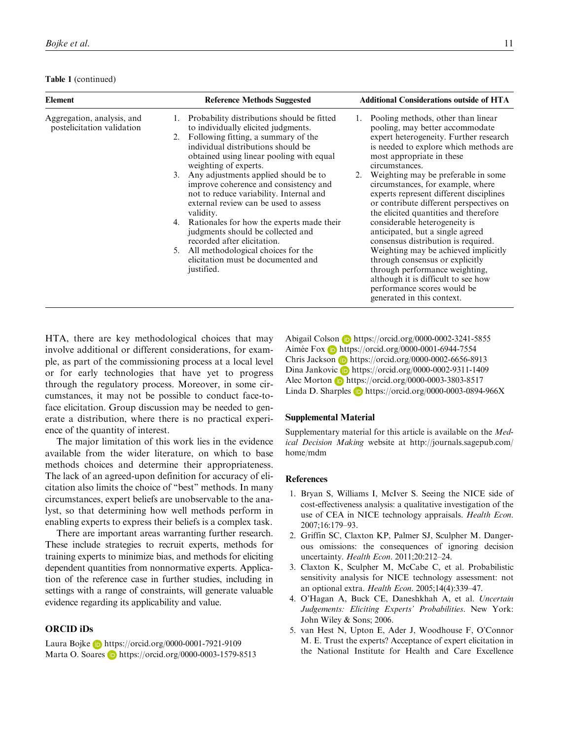|  |  | Table 1 (continued) |
|--|--|---------------------|
|--|--|---------------------|

| <b>Element</b>                                           | <b>Reference Methods Suggested</b>                                                                                                                                                                                                                                                                                                                                                                                                                                                                                                                                                                                                                             | <b>Additional Considerations outside of HTA</b>                                                                                                                                                                                                                                                                                                                                                                                                                                                                                                                                                                                                                                                                                                              |
|----------------------------------------------------------|----------------------------------------------------------------------------------------------------------------------------------------------------------------------------------------------------------------------------------------------------------------------------------------------------------------------------------------------------------------------------------------------------------------------------------------------------------------------------------------------------------------------------------------------------------------------------------------------------------------------------------------------------------------|--------------------------------------------------------------------------------------------------------------------------------------------------------------------------------------------------------------------------------------------------------------------------------------------------------------------------------------------------------------------------------------------------------------------------------------------------------------------------------------------------------------------------------------------------------------------------------------------------------------------------------------------------------------------------------------------------------------------------------------------------------------|
| Aggregation, analysis, and<br>postelicitation validation | Probability distributions should be fitted<br>1.<br>to individually elicited judgments.<br>Following fitting, a summary of the<br>2.<br>individual distributions should be<br>obtained using linear pooling with equal<br>weighting of experts.<br>Any adjustments applied should be to<br>3.<br>improve coherence and consistency and<br>not to reduce variability. Internal and<br>external review can be used to assess<br>validity.<br>Rationales for how the experts made their<br>4.<br>judgments should be collected and<br>recorded after elicitation.<br>All methodological choices for the<br>5.<br>elicitation must be documented and<br>justified. | Pooling methods, other than linear<br>1.<br>pooling, may better accommodate<br>expert heterogeneity. Further research<br>is needed to explore which methods are<br>most appropriate in these<br>circumstances.<br>Weighting may be preferable in some<br>2.<br>circumstances, for example, where<br>experts represent different disciplines<br>or contribute different perspectives on<br>the elicited quantities and therefore<br>considerable heterogeneity is<br>anticipated, but a single agreed<br>consensus distribution is required.<br>Weighting may be achieved implicitly<br>through consensus or explicitly<br>through performance weighting,<br>although it is difficult to see how<br>performance scores would be<br>generated in this context. |

HTA, there are key methodological choices that may involve additional or different considerations, for example, as part of the commissioning process at a local level or for early technologies that have yet to progress through the regulatory process. Moreover, in some circumstances, it may not be possible to conduct face-toface elicitation. Group discussion may be needed to generate a distribution, where there is no practical experience of the quantity of interest.

The major limitation of this work lies in the evidence available from the wider literature, on which to base methods choices and determine their appropriateness. The lack of an agreed-upon definition for accuracy of elicitation also limits the choice of ''best'' methods. In many circumstances, expert beliefs are unobservable to the analyst, so that determining how well methods perform in enabling experts to express their beliefs is a complex task.

There are important areas warranting further research. These include strategies to recruit experts, methods for training experts to minimize bias, and methods for eliciting dependent quantities from nonnormative experts. Application of the reference case in further studies, including in settings with a range of constraints, will generate valuable evidence regarding its applicability and value.

## ORCID iDs

Laura Bojke **b** <https://orcid.org/0000-0001-7921-9109> Marta O. Soares **h**ttps://orcid.org/0000-0003-1579-8513 Abigail Colson **b** <https://orcid.org/0000-0002-3241-5855> Aimée Fox **b** <https://orcid.org/0000-0001-6944-7554> Chris Jackson **h**ttps://orcid.org/0000-0002-6656-8913 Dina Jankovic **b** <https://orcid.org/0000-0002-9311-1409> Alec Morton **b** <https://orcid.org/0000-0003-3803-8517> Linda D. Sharples **b** <https://orcid.org/0000-0003-0894-966X>

#### Supplemental Material

Supplementary material for this article is available on the Medical Decision Making website at [http://journals.sagepub.com/](http://journals.sagepub.com/home/mdm) [home/mdm](http://journals.sagepub.com/home/mdm)

## References

- 1. Bryan S, Williams I, McIver S. Seeing the NICE side of cost-effectiveness analysis: a qualitative investigation of the use of CEA in NICE technology appraisals. Health Econ. 2007;16:179–93.
- 2. Griffin SC, Claxton KP, Palmer SJ, Sculpher M. Dangerous omissions: the consequences of ignoring decision uncertainty. Health Econ. 2011;20:212–24.
- 3. Claxton K, Sculpher M, McCabe C, et al. Probabilistic sensitivity analysis for NICE technology assessment: not an optional extra. Health Econ. 2005;14(4):339–47.
- 4. O'Hagan A, Buck CE, Daneshkhah A, et al. Uncertain Judgements: Eliciting Experts' Probabilities. New York: John Wiley & Sons; 2006.
- 5. van Hest N, Upton E, Ader J, Woodhouse F, O'Connor M. E. Trust the experts? Acceptance of expert elicitation in the National Institute for Health and Care Excellence